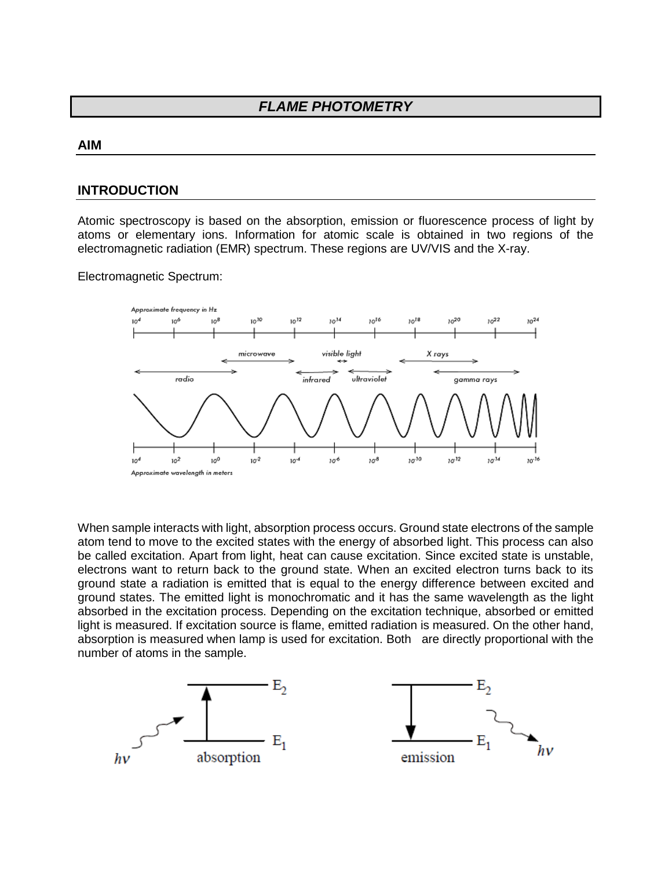## *FLAME PHOTOMETRY*

#### **AIM**

### **INTRODUCTION**

Atomic spectroscopy is based on the absorption, emission or fluorescence process of light by atoms or elementary ions. Information for atomic scale is obtained in two regions of the electromagnetic radiation (EMR) spectrum. These regions are UV/VIS and the X-ray.

Electromagnetic Spectrum:



When sample interacts with light, absorption process occurs. Ground state electrons of the sample atom tend to move to the excited states with the energy of absorbed light. This process can also be called excitation. Apart from light, heat can cause excitation. Since excited state is unstable, electrons want to return back to the ground state. When an excited electron turns back to its ground state a radiation is emitted that is equal to the energy difference between excited and ground states. The emitted light is monochromatic and it has the same wavelength as the light absorbed in the excitation process. Depending on the excitation technique, absorbed or emitted light is measured. If excitation source is flame, emitted radiation is measured. On the other hand, absorption is measured when lamp is used for excitation. Both are directly proportional with the number of atoms in the sample.

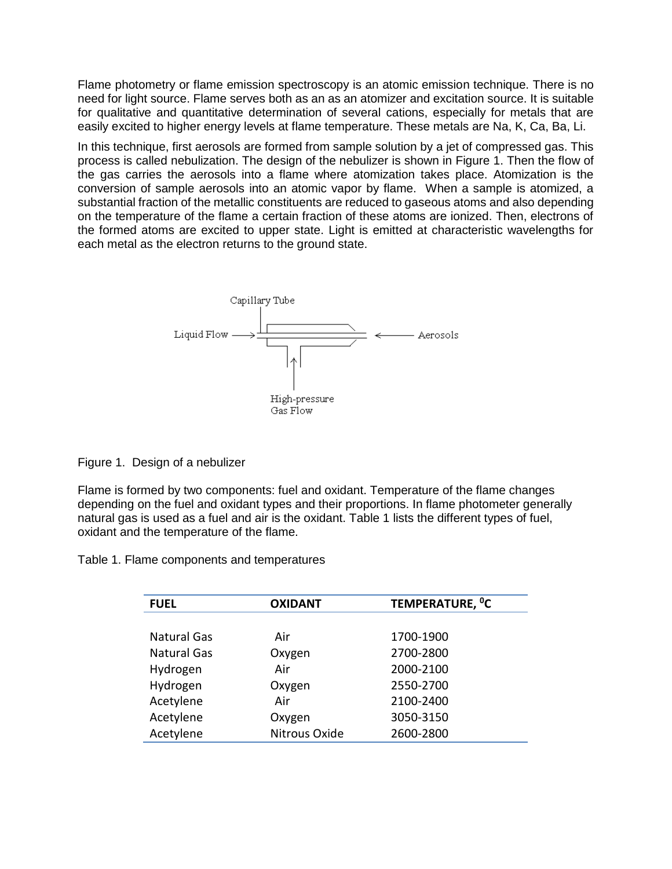Flame photometry or flame emission spectroscopy is an atomic emission technique. There is no need for light source. Flame serves both as an as an atomizer and excitation source. It is suitable for qualitative and quantitative determination of several cations, especially for metals that are easily excited to higher energy levels at flame temperature. These metals are Na, K, Ca, Ba, Li.

In this technique, first aerosols are formed from sample solution by a jet of compressed gas. This process is called nebulization. The design of the nebulizer is shown in Figure 1. Then the flow of the gas carries the aerosols into a flame where atomization takes place. Atomization is the conversion of sample aerosols into an atomic vapor by flame. When a sample is atomized, a substantial fraction of the metallic constituents are reduced to gaseous atoms and also depending on the temperature of the flame a certain fraction of these atoms are ionized. Then, electrons of the formed atoms are excited to upper state. Light is emitted at characteristic wavelengths for each metal as the electron returns to the ground state.



Figure 1. Design of a nebulizer

Flame is formed by two components: fuel and oxidant. Temperature of the flame changes depending on the fuel and oxidant types and their proportions. In flame photometer generally natural gas is used as a fuel and air is the oxidant. Table 1 lists the different types of fuel, oxidant and the temperature of the flame.

Table 1. Flame components and temperatures

| <b>FUEL</b>        | <b>OXIDANT</b> | TEMPERATURE, <sup>o</sup> C |
|--------------------|----------------|-----------------------------|
|                    |                |                             |
| <b>Natural Gas</b> | Air            | 1700-1900                   |
| <b>Natural Gas</b> | Oxygen         | 2700-2800                   |
| Hydrogen           | Air            | 2000-2100                   |
| Hydrogen           | Oxygen         | 2550-2700                   |
| Acetylene          | Air            | 2100-2400                   |
| Acetylene          | Oxygen         | 3050-3150                   |
| Acetylene          | Nitrous Oxide  | 2600-2800                   |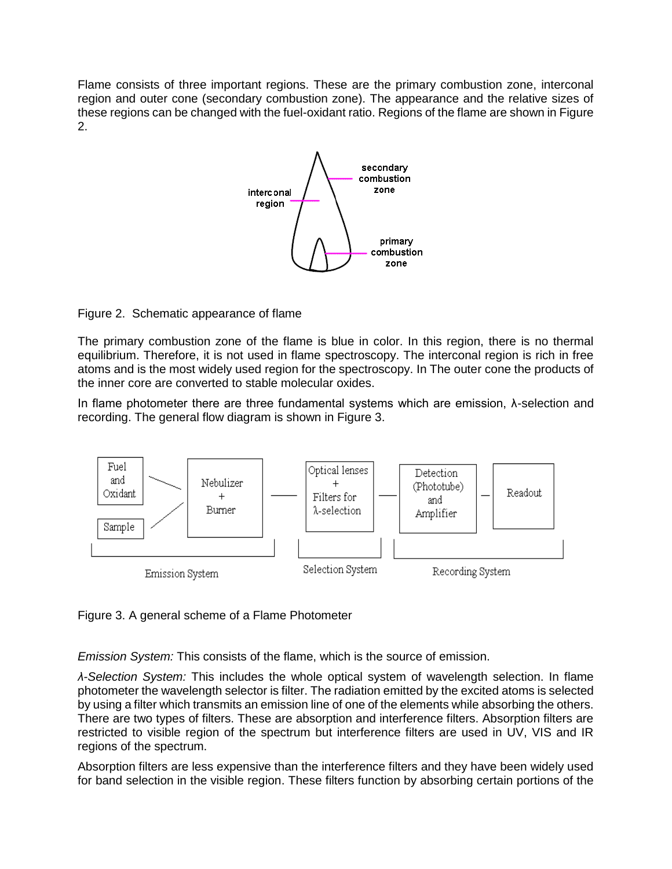Flame consists of three important regions. These are the primary combustion zone, interconal region and outer cone (secondary combustion zone). The appearance and the relative sizes of these regions can be changed with the fuel-oxidant ratio. Regions of the flame are shown in Figure 2.



Figure 2. Schematic appearance of flame

The primary combustion zone of the flame is blue in color. In this region, there is no thermal equilibrium. Therefore, it is not used in flame spectroscopy. The interconal region is rich in free atoms and is the most widely used region for the spectroscopy. In The outer cone the products of the inner core are converted to stable molecular oxides.

In flame photometer there are three fundamental systems which are emission, λ-selection and recording. The general flow diagram is shown in Figure 3.



Figure 3. A general scheme of a Flame Photometer

*Emission System:* This consists of the flame, which is the source of emission.

*λ-Selection System:* This includes the whole optical system of wavelength selection. In flame photometer the wavelength selector is filter. The radiation emitted by the excited atoms is selected by using a filter which transmits an emission line of one of the elements while absorbing the others. There are two types of filters. These are absorption and interference filters. Absorption filters are restricted to visible region of the spectrum but interference filters are used in UV, VIS and IR regions of the spectrum.

Absorption filters are less expensive than the interference filters and they have been widely used for band selection in the visible region. These filters function by absorbing certain portions of the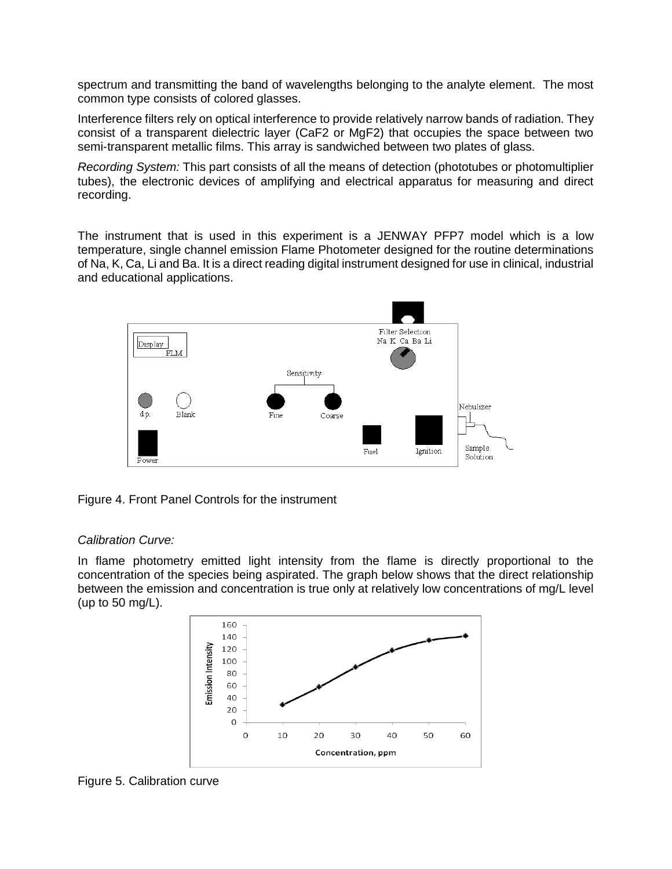spectrum and transmitting the band of wavelengths belonging to the analyte element. The most common type consists of colored glasses.

Interference filters rely on optical interference to provide relatively narrow bands of radiation. They consist of a transparent dielectric layer (CaF2 or MgF2) that occupies the space between two semi-transparent metallic films. This array is sandwiched between two plates of glass.

*Recording System:* This part consists of all the means of detection (phototubes or photomultiplier tubes), the electronic devices of amplifying and electrical apparatus for measuring and direct recording.

The instrument that is used in this experiment is a JENWAY PFP7 model which is a low temperature, single channel emission Flame Photometer designed for the routine determinations of Na, K, Ca, Li and Ba. It is a direct reading digital instrument designed for use in clinical, industrial and educational applications.



Figure 4. Front Panel Controls for the instrument

### *Calibration Curve:*

In flame photometry emitted light intensity from the flame is directly proportional to the concentration of the species being aspirated. The graph below shows that the direct relationship between the emission and concentration is true only at relatively low concentrations of mg/L level (up to 50 mg/L).



Figure 5. Calibration curve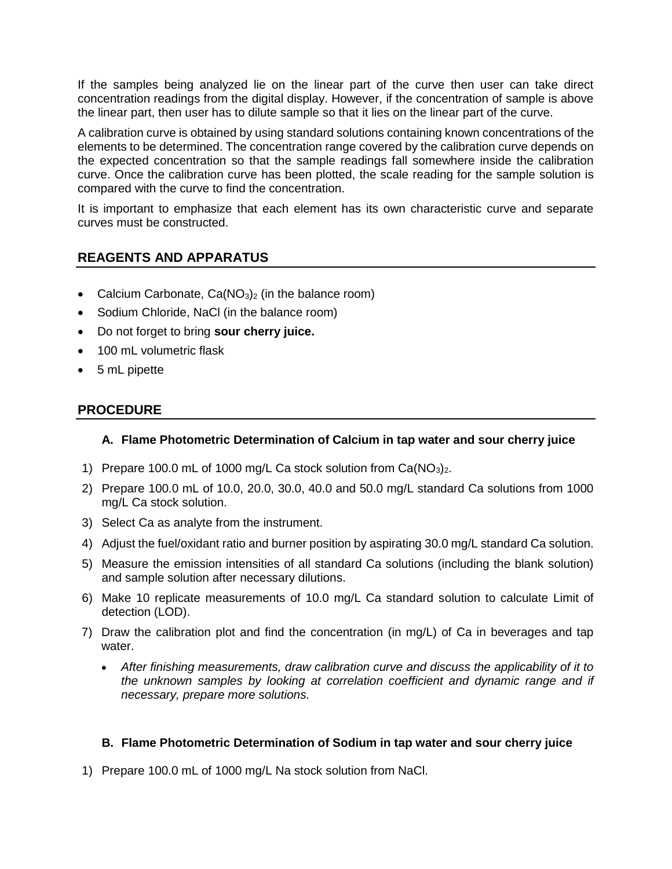If the samples being analyzed lie on the linear part of the curve then user can take direct concentration readings from the digital display. However, if the concentration of sample is above the linear part, then user has to dilute sample so that it lies on the linear part of the curve.

A calibration curve is obtained by using standard solutions containing known concentrations of the elements to be determined. The concentration range covered by the calibration curve depends on the expected concentration so that the sample readings fall somewhere inside the calibration curve. Once the calibration curve has been plotted, the scale reading for the sample solution is compared with the curve to find the concentration.

It is important to emphasize that each element has its own characteristic curve and separate curves must be constructed.

## **REAGENTS AND APPARATUS**

- Calcium Carbonate,  $Ca(NO<sub>3</sub>)<sub>2</sub>$  (in the balance room)
- Sodium Chloride, NaCl (in the balance room)
- Do not forget to bring **sour cherry juice.**
- 100 mL volumetric flask
- 5 mL pipette

## **PROCEDURE**

### **A. Flame Photometric Determination of Calcium in tap water and sour cherry juice**

- 1) Prepare 100.0 mL of 1000 mg/L Ca stock solution from  $Ca(NO<sub>3</sub>)<sub>2</sub>$ .
- 2) Prepare 100.0 mL of 10.0, 20.0, 30.0, 40.0 and 50.0 mg/L standard Ca solutions from 1000 mg/L Ca stock solution.
- 3) Select Ca as analyte from the instrument.
- 4) Adjust the fuel/oxidant ratio and burner position by aspirating 30.0 mg/L standard Ca solution.
- 5) Measure the emission intensities of all standard Ca solutions (including the blank solution) and sample solution after necessary dilutions.
- 6) Make 10 replicate measurements of 10.0 mg/L Ca standard solution to calculate Limit of detection (LOD).
- 7) Draw the calibration plot and find the concentration (in mg/L) of Ca in beverages and tap water.
	- *After finishing measurements, draw calibration curve and discuss the applicability of it to the unknown samples by looking at correlation coefficient and dynamic range and if necessary, prepare more solutions.*

### **B. Flame Photometric Determination of Sodium in tap water and sour cherry juice**

1) Prepare 100.0 mL of 1000 mg/L Na stock solution from NaCl.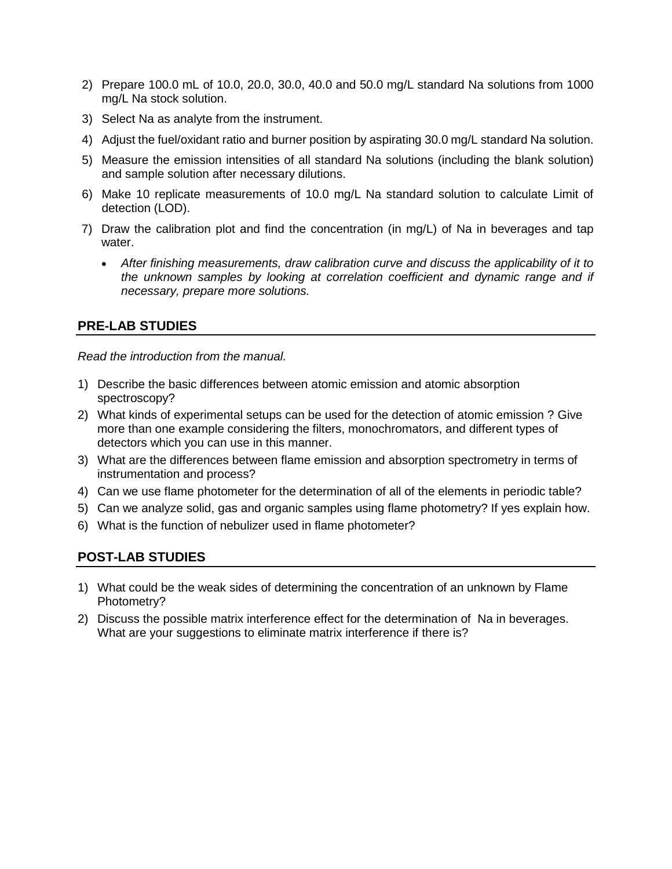- 2) Prepare 100.0 mL of 10.0, 20.0, 30.0, 40.0 and 50.0 mg/L standard Na solutions from 1000 mg/L Na stock solution.
- 3) Select Na as analyte from the instrument.
- 4) Adjust the fuel/oxidant ratio and burner position by aspirating 30.0 mg/L standard Na solution.
- 5) Measure the emission intensities of all standard Na solutions (including the blank solution) and sample solution after necessary dilutions.
- 6) Make 10 replicate measurements of 10.0 mg/L Na standard solution to calculate Limit of detection (LOD).
- 7) Draw the calibration plot and find the concentration (in mg/L) of Na in beverages and tap water.
	- *After finishing measurements, draw calibration curve and discuss the applicability of it to the unknown samples by looking at correlation coefficient and dynamic range and if necessary, prepare more solutions.*

## **PRE-LAB STUDIES**

*Read the introduction from the manual.* 

- 1) Describe the basic differences between atomic emission and atomic absorption spectroscopy?
- 2) What kinds of experimental setups can be used for the detection of atomic emission ? Give more than one example considering the filters, monochromators, and different types of detectors which you can use in this manner.
- 3) What are the differences between flame emission and absorption spectrometry in terms of instrumentation and process?
- 4) Can we use flame photometer for the determination of all of the elements in periodic table?
- 5) Can we analyze solid, gas and organic samples using flame photometry? If yes explain how.
- 6) What is the function of nebulizer used in flame photometer?

## **POST-LAB STUDIES**

- 1) What could be the weak sides of determining the concentration of an unknown by Flame Photometry?
- 2) Discuss the possible matrix interference effect for the determination of Na in beverages. What are your suggestions to eliminate matrix interference if there is?